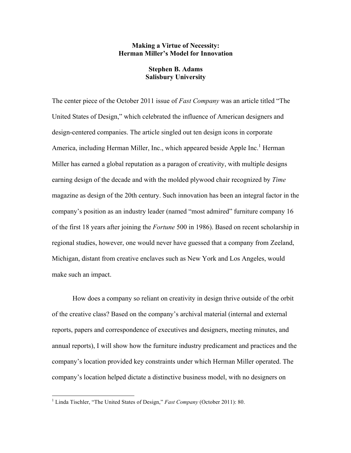# **Making a Virtue of Necessity: Herman Miller's Model for Innovation**

# **Stephen B. Adams Salisbury University**

The center piece of the October 2011 issue of *Fast Company* was an article titled "The United States of Design," which celebrated the influence of American designers and design-centered companies. The article singled out ten design icons in corporate America, including Herman Miller, Inc., which appeared beside Apple Inc.<sup>1</sup> Herman Miller has earned a global reputation as a paragon of creativity, with multiple designs earning design of the decade and with the molded plywood chair recognized by *Time* magazine as design of the 20th century. Such innovation has been an integral factor in the company's position as an industry leader (named "most admired" furniture company 16 of the first 18 years after joining the *Fortune* 500 in 1986). Based on recent scholarship in regional studies, however, one would never have guessed that a company from Zeeland, Michigan, distant from creative enclaves such as New York and Los Angeles, would make such an impact.

How does a company so reliant on creativity in design thrive outside of the orbit of the creative class? Based on the company's archival material (internal and external reports, papers and correspondence of executives and designers, meeting minutes, and annual reports), I will show how the furniture industry predicament and practices and the company's location provided key constraints under which Herman Miller operated. The company's location helped dictate a distinctive business model, with no designers on

<sup>&</sup>lt;sup>1</sup> Linda Tischler, "The United States of Design," *Fast Company* (October 2011): 80.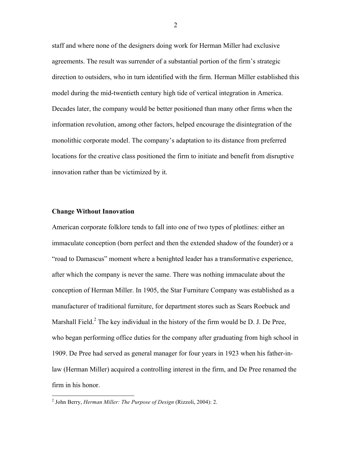staff and where none of the designers doing work for Herman Miller had exclusive agreements. The result was surrender of a substantial portion of the firm's strategic direction to outsiders, who in turn identified with the firm. Herman Miller established this model during the mid-twentieth century high tide of vertical integration in America. Decades later, the company would be better positioned than many other firms when the information revolution, among other factors, helped encourage the disintegration of the monolithic corporate model. The company's adaptation to its distance from preferred locations for the creative class positioned the firm to initiate and benefit from disruptive innovation rather than be victimized by it.

### **Change Without Innovation**

American corporate folklore tends to fall into one of two types of plotlines: either an immaculate conception (born perfect and then the extended shadow of the founder) or a "road to Damascus" moment where a benighted leader has a transformative experience, after which the company is never the same. There was nothing immaculate about the conception of Herman Miller. In 1905, the Star Furniture Company was established as a manufacturer of traditional furniture, for department stores such as Sears Roebuck and Marshall Field.<sup>2</sup> The key individual in the history of the firm would be D. J. De Pree, who began performing office duties for the company after graduating from high school in 1909. De Pree had served as general manager for four years in 1923 when his father-inlaw (Herman Miller) acquired a controlling interest in the firm, and De Pree renamed the firm in his honor.

 <sup>2</sup> John Berry, *Herman Miller: The Purpose of Design* (Rizzoli, 2004): 2.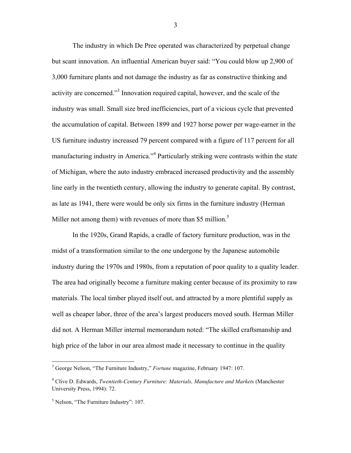The industry in which De Pree operated was characterized by perpetual change but scant innovation. An influential American buyer said: "You could blow up 2,900 of 3,000 furniture plants and not damage the industry as far as constructive thinking and activity are concerned."3 Innovation required capital, however, and the scale of the industry was small. Small size bred inefficiencies, part of a vicious cycle that prevented the accumulation of capital. Between 1899 and 1927 horse power per wage-earner in the US furniture industry increased 79 percent compared with a figure of 117 percent for all manufacturing industry in America."<sup>4</sup> Particularly striking were contrasts within the state of Michigan, where the auto industry embraced increased productivity and the assembly line early in the twentieth century, allowing the industry to generate capital. By contrast, as late as 1941, there were would be only six firms in the furniture industry (Herman Miller not among them) with revenues of more than \$5 million.<sup>5</sup>

In the 1920s, Grand Rapids, a cradle of factory furniture production, was in the midst of a transformation similar to the one undergone by the Japanese automobile industry during the 1970s and 1980s, from a reputation of poor quality to a quality leader. The area had originally become a furniture making center because of its proximity to raw materials. The local timber played itself out, and attracted by a more plentiful supply as well as cheaper labor, three of the area's largest producers moved south. Herman Miller did not. A Herman Miller internal memorandum noted: "The skilled craftsmanship and high price of the labor in our area almost made it necessary to continue in the quality

 <sup>3</sup> George Nelson, "The Furniture Industry," *Fortune* magazine, February 1947: 107.

<sup>4</sup> Clive D. Edwards, *Twentieth-Century Furniture: Materials, Manufacture and Markets* (Manchester University Press, 1994): 72.

<sup>5</sup> Nelson, "The Furniture Industry": 107.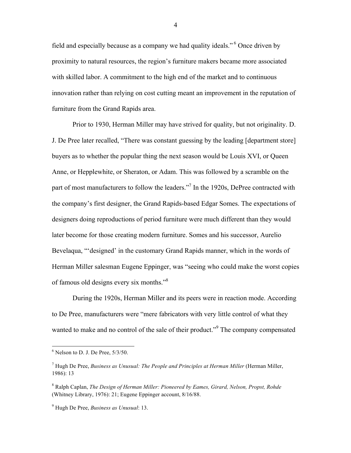field and especially because as a company we had quality ideals." <sup>6</sup> Once driven by proximity to natural resources, the region's furniture makers became more associated with skilled labor. A commitment to the high end of the market and to continuous innovation rather than relying on cost cutting meant an improvement in the reputation of furniture from the Grand Rapids area.

Prior to 1930, Herman Miller may have strived for quality, but not originality. D. J. De Pree later recalled, "There was constant guessing by the leading [department store] buyers as to whether the popular thing the next season would be Louis XVI, or Queen Anne, or Hepplewhite, or Sheraton, or Adam. This was followed by a scramble on the part of most manufacturers to follow the leaders."<sup>7</sup> In the 1920s, DePree contracted with the company's first designer, the Grand Rapids-based Edgar Somes. The expectations of designers doing reproductions of period furniture were much different than they would later become for those creating modern furniture. Somes and his successor, Aurelio Bevelaqua, "'designed' in the customary Grand Rapids manner, which in the words of Herman Miller salesman Eugene Eppinger, was "seeing who could make the worst copies of famous old designs every six months."8

During the 1920s, Herman Miller and its peers were in reaction mode. According to De Pree, manufacturers were "mere fabricators with very little control of what they wanted to make and no control of the sale of their product."<sup>9</sup> The company compensated

 $6$  Nelson to D. J. De Pree,  $5/3/50$ .

<sup>7</sup> Hugh De Pree, *Business as Unusual: The People and Principles at Herman Miller* (Herman Miller, 1986): 13

<sup>8</sup> Ralph Caplan, *The Design of Herman Miller: Pioneered by Eames, Girard, Nelson, Propst, Rohde* (Whitney Library, 1976): 21; Eugene Eppinger account, 8/16/88.

<sup>9</sup> Hugh De Pree, *Business as Unusual*: 13.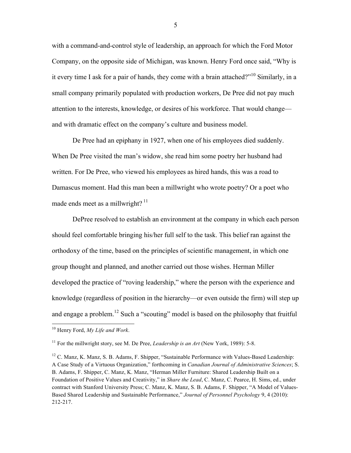with a command-and-control style of leadership, an approach for which the Ford Motor Company, on the opposite side of Michigan, was known. Henry Ford once said, "Why is it every time I ask for a pair of hands, they come with a brain attached?"<sup>10</sup> Similarly, in a small company primarily populated with production workers, De Pree did not pay much attention to the interests, knowledge, or desires of his workforce. That would change and with dramatic effect on the company's culture and business model.

De Pree had an epiphany in 1927, when one of his employees died suddenly. When De Pree visited the man's widow, she read him some poetry her husband had written. For De Pree, who viewed his employees as hired hands, this was a road to Damascus moment. Had this man been a millwright who wrote poetry? Or a poet who made ends meet as a millwright?  $11$ 

DePree resolved to establish an environment at the company in which each person should feel comfortable bringing his/her full self to the task. This belief ran against the orthodoxy of the time, based on the principles of scientific management, in which one group thought and planned, and another carried out those wishes. Herman Miller developed the practice of "roving leadership," where the person with the experience and knowledge (regardless of position in the hierarchy—or even outside the firm) will step up and engage a problem.<sup>12</sup> Such a "scouting" model is based on the philosophy that fruitful

 <sup>10</sup> Henry Ford, *My Life and Work*.

<sup>&</sup>lt;sup>11</sup> For the millwright story, see M. De Pree, *Leadership is an Art* (New York, 1989): 5-8.

 $12$  C. Manz, K. Manz, S. B. Adams, F. Shipper, "Sustainable Performance with Values-Based Leadership: A Case Study of a Virtuous Organization," forthcoming in *Canadian Journal of Administrative Sciences*; S. B. Adams, F. Shipper, C. Manz, K. Manz, "Herman Miller Furniture: Shared Leadership Built on a Foundation of Positive Values and Creativity," in *Share the Lead*, C. Manz, C. Pearce, H. Sims, ed., under contract with Stanford University Press; C. Manz, K. Manz, S. B. Adams, F. Shipper, "A Model of Values-Based Shared Leadership and Sustainable Performance," *Journal of Personnel Psychology* 9, 4 (2010): 212-217.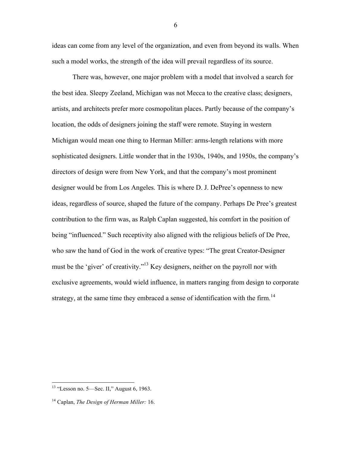ideas can come from any level of the organization, and even from beyond its walls. When such a model works, the strength of the idea will prevail regardless of its source.

There was, however, one major problem with a model that involved a search for the best idea. Sleepy Zeeland, Michigan was not Mecca to the creative class; designers, artists, and architects prefer more cosmopolitan places. Partly because of the company's location, the odds of designers joining the staff were remote. Staying in western Michigan would mean one thing to Herman Miller: arms-length relations with more sophisticated designers. Little wonder that in the 1930s, 1940s, and 1950s, the company's directors of design were from New York, and that the company's most prominent designer would be from Los Angeles. This is where D. J. DePree's openness to new ideas, regardless of source, shaped the future of the company. Perhaps De Pree's greatest contribution to the firm was, as Ralph Caplan suggested, his comfort in the position of being "influenced." Such receptivity also aligned with the religious beliefs of De Pree, who saw the hand of God in the work of creative types: "The great Creator-Designer must be the 'giver' of creativity."13 Key designers, neither on the payroll nor with exclusive agreements, would wield influence, in matters ranging from design to corporate strategy, at the same time they embraced a sense of identification with the firm.<sup>14</sup>

 $13$  "Lesson no. 5—Sec. II," August 6, 1963.

<sup>14</sup> Caplan, *The Design of Herman Miller:* 16.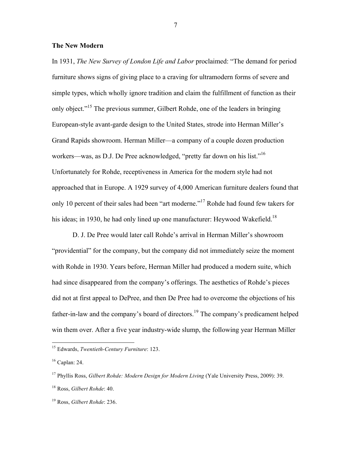### **The New Modern**

In 1931, *The New Survey of London Life and Labor* proclaimed: "The demand for period furniture shows signs of giving place to a craving for ultramodern forms of severe and simple types, which wholly ignore tradition and claim the fulfillment of function as their only object."15 The previous summer, Gilbert Rohde, one of the leaders in bringing European-style avant-garde design to the United States, strode into Herman Miller's Grand Rapids showroom. Herman Miller—a company of a couple dozen production workers—was, as D.J. De Pree acknowledged, "pretty far down on his list."<sup>16</sup> Unfortunately for Rohde, receptiveness in America for the modern style had not approached that in Europe. A 1929 survey of 4,000 American furniture dealers found that only 10 percent of their sales had been "art moderne."17 Rohde had found few takers for his ideas; in 1930, he had only lined up one manufacturer: Heywood Wakefield.<sup>18</sup>

D. J. De Pree would later call Rohde's arrival in Herman Miller's showroom "providential" for the company, but the company did not immediately seize the moment with Rohde in 1930. Years before, Herman Miller had produced a modern suite, which had since disappeared from the company's offerings. The aesthetics of Rohde's pieces did not at first appeal to DePree, and then De Pree had to overcome the objections of his father-in-law and the company's board of directors.<sup>19</sup> The company's predicament helped win them over. After a five year industry-wide slump, the following year Herman Miller

 <sup>15</sup> Edwards, *Twentieth-Century Furniture*: 123.

<sup>16</sup> Caplan: 24.

<sup>17</sup> Phyllis Ross, *Gilbert Rohde: Modern Design for Modern Living* (Yale University Press, 2009): 39.

<sup>18</sup> Ross, *Gilbert Rohde*: 40.

<sup>19</sup> Ross, *Gilbert Rohde*: 236.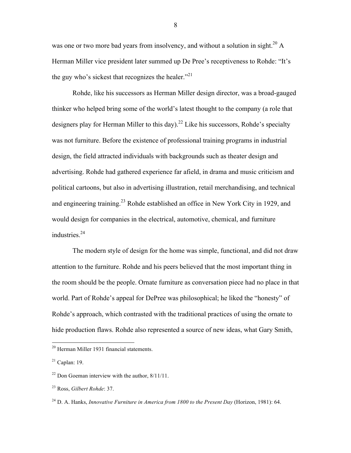was one or two more bad years from insolvency, and without a solution in sight.<sup>20</sup> A Herman Miller vice president later summed up De Pree's receptiveness to Rohde: "It's the guy who's sickest that recognizes the healer. $^{21}$ 

Rohde, like his successors as Herman Miller design director, was a broad-gauged thinker who helped bring some of the world's latest thought to the company (a role that designers play for Herman Miller to this day).<sup>22</sup> Like his successors, Rohde's specialty was not furniture. Before the existence of professional training programs in industrial design, the field attracted individuals with backgrounds such as theater design and advertising. Rohde had gathered experience far afield, in drama and music criticism and political cartoons, but also in advertising illustration, retail merchandising, and technical and engineering training.23 Rohde established an office in New York City in 1929, and would design for companies in the electrical, automotive, chemical, and furniture industries.<sup>24</sup>

The modern style of design for the home was simple, functional, and did not draw attention to the furniture. Rohde and his peers believed that the most important thing in the room should be the people. Ornate furniture as conversation piece had no place in that world. Part of Rohde's appeal for DePree was philosophical; he liked the "honesty" of Rohde's approach, which contrasted with the traditional practices of using the ornate to hide production flaws. Rohde also represented a source of new ideas, what Gary Smith,

 <sup>20</sup> Herman Miller 1931 financial statements.

 $21$  Caplan: 19.

 $22$  Don Goeman interview with the author,  $8/11/11$ .

<sup>23</sup> Ross, *Gilbert Rohde*: 37.

<sup>24</sup> D. A. Hanks, *Innovative Furniture in America from 1800 to the Present Day* (Horizon, 1981): 64.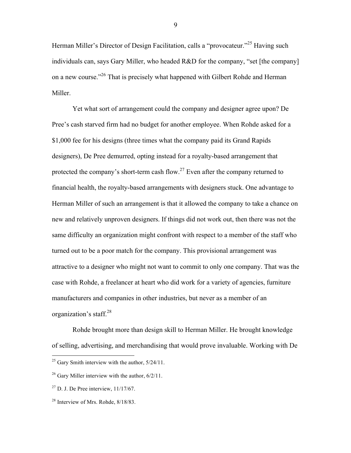Herman Miller's Director of Design Facilitation, calls a "provocateur."<sup>25</sup> Having such individuals can, says Gary Miller, who headed R&D for the company, "set [the company] on a new course."26 That is precisely what happened with Gilbert Rohde and Herman Miller.

Yet what sort of arrangement could the company and designer agree upon? De Pree's cash starved firm had no budget for another employee. When Rohde asked for a \$1,000 fee for his designs (three times what the company paid its Grand Rapids designers), De Pree demurred, opting instead for a royalty-based arrangement that protected the company's short-term cash flow.<sup>27</sup> Even after the company returned to financial health, the royalty-based arrangements with designers stuck. One advantage to Herman Miller of such an arrangement is that it allowed the company to take a chance on new and relatively unproven designers. If things did not work out, then there was not the same difficulty an organization might confront with respect to a member of the staff who turned out to be a poor match for the company. This provisional arrangement was attractive to a designer who might not want to commit to only one company. That was the case with Rohde, a freelancer at heart who did work for a variety of agencies, furniture manufacturers and companies in other industries, but never as a member of an organization's staff. $^{28}$ 

Rohde brought more than design skill to Herman Miller. He brought knowledge of selling, advertising, and merchandising that would prove invaluable. Working with De

 $25$  Gary Smith interview with the author,  $5/24/11$ .

<sup>&</sup>lt;sup>26</sup> Gary Miller interview with the author,  $6/2/11$ .

 $27$  D. J. De Pree interview,  $11/17/67$ .

<sup>28</sup> Interview of Mrs. Rohde, 8/18/83.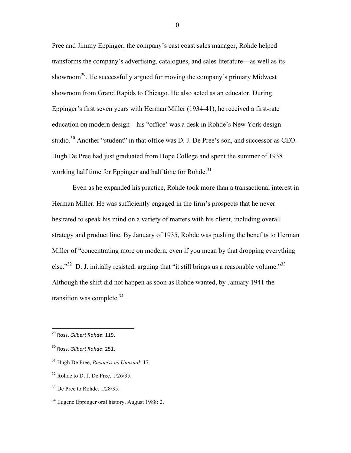Pree and Jimmy Eppinger, the company's east coast sales manager, Rohde helped transforms the company's advertising, catalogues, and sales literature—as well as its showroom<sup>29</sup>. He successfully argued for moving the company's primary Midwest showroom from Grand Rapids to Chicago. He also acted as an educator. During Eppinger's first seven years with Herman Miller (1934-41), he received a first-rate education on modern design—his "office' was a desk in Rohde's New York design studio.<sup>30</sup> Another "student" in that office was D. J. De Pree's son, and successor as CEO. Hugh De Pree had just graduated from Hope College and spent the summer of 1938 working half time for Eppinger and half time for Rohde.<sup>31</sup>

Even as he expanded his practice, Rohde took more than a transactional interest in Herman Miller. He was sufficiently engaged in the firm's prospects that he never hesitated to speak his mind on a variety of matters with his client, including overall strategy and product line. By January of 1935, Rohde was pushing the benefits to Herman Miller of "concentrating more on modern, even if you mean by that dropping everything else." $32$  D. J. initially resisted, arguing that "it still brings us a reasonable volume." $33$ Although the shift did not happen as soon as Rohde wanted, by January 1941 the transition was complete. $34$ 

- <sup>31</sup> Hugh De Pree, *Business as Unusual*: 17.
- $32$  Rohde to D. J. De Pree,  $1/26/35$ .
- <sup>33</sup> De Pree to Rohde, 1/28/35.
- <sup>34</sup> Eugene Eppinger oral history, August 1988: 2.

<sup>&</sup>lt;sup>29</sup> Ross, *Gilbert Rohde*: 119.

<sup>&</sup>lt;sup>30</sup> Ross, *Gilbert Rohde*: 251.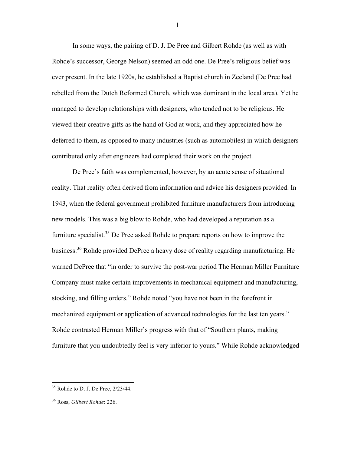In some ways, the pairing of D. J. De Pree and Gilbert Rohde (as well as with Rohde's successor, George Nelson) seemed an odd one. De Pree's religious belief was ever present. In the late 1920s, he established a Baptist church in Zeeland (De Pree had rebelled from the Dutch Reformed Church, which was dominant in the local area). Yet he managed to develop relationships with designers, who tended not to be religious. He viewed their creative gifts as the hand of God at work, and they appreciated how he deferred to them, as opposed to many industries (such as automobiles) in which designers contributed only after engineers had completed their work on the project.

De Pree's faith was complemented, however, by an acute sense of situational reality. That reality often derived from information and advice his designers provided. In 1943, when the federal government prohibited furniture manufacturers from introducing new models. This was a big blow to Rohde, who had developed a reputation as a furniture specialist.<sup>35</sup> De Pree asked Rohde to prepare reports on how to improve the business.<sup>36</sup> Rohde provided DePree a heavy dose of reality regarding manufacturing. He warned DePree that "in order to survive the post-war period The Herman Miller Furniture Company must make certain improvements in mechanical equipment and manufacturing, stocking, and filling orders." Rohde noted "you have not been in the forefront in mechanized equipment or application of advanced technologies for the last ten years." Rohde contrasted Herman Miller's progress with that of "Southern plants, making furniture that you undoubtedly feel is very inferior to yours." While Rohde acknowledged

 <sup>35</sup> Rohde to D. J. De Pree, 2/23/44.

<sup>36</sup> Ross, *Gilbert Rohde*: 226.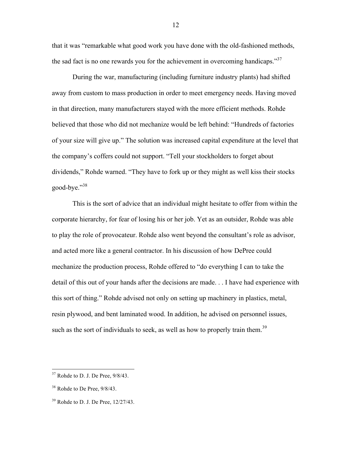that it was "remarkable what good work you have done with the old-fashioned methods, the sad fact is no one rewards you for the achievement in overcoming handicaps." $37$ 

During the war, manufacturing (including furniture industry plants) had shifted away from custom to mass production in order to meet emergency needs. Having moved in that direction, many manufacturers stayed with the more efficient methods. Rohde believed that those who did not mechanize would be left behind: "Hundreds of factories of your size will give up." The solution was increased capital expenditure at the level that the company's coffers could not support. "Tell your stockholders to forget about dividends," Rohde warned. "They have to fork up or they might as well kiss their stocks good-bye."<sup>38</sup>

This is the sort of advice that an individual might hesitate to offer from within the corporate hierarchy, for fear of losing his or her job. Yet as an outsider, Rohde was able to play the role of provocateur. Rohde also went beyond the consultant's role as advisor, and acted more like a general contractor. In his discussion of how DePree could mechanize the production process, Rohde offered to "do everything I can to take the detail of this out of your hands after the decisions are made. . . I have had experience with this sort of thing." Rohde advised not only on setting up machinery in plastics, metal, resin plywood, and bent laminated wood. In addition, he advised on personnel issues, such as the sort of individuals to seek, as well as how to properly train them.<sup>39</sup>

 $37$  Rohde to D. J. De Pree,  $9/8/43$ .

<sup>&</sup>lt;sup>38</sup> Rohde to De Pree,  $9/8/43$ .

<sup>39</sup> Rohde to D. J. De Pree, 12/27/43.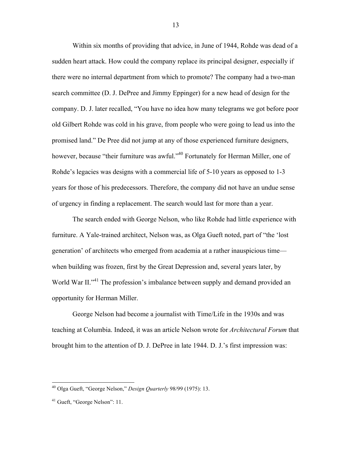Within six months of providing that advice, in June of 1944, Rohde was dead of a sudden heart attack. How could the company replace its principal designer, especially if there were no internal department from which to promote? The company had a two-man search committee (D. J. DePree and Jimmy Eppinger) for a new head of design for the company. D. J. later recalled, "You have no idea how many telegrams we got before poor old Gilbert Rohde was cold in his grave, from people who were going to lead us into the promised land." De Pree did not jump at any of those experienced furniture designers, however, because "their furniture was awful."<sup>40</sup> Fortunately for Herman Miller, one of Rohde's legacies was designs with a commercial life of 5-10 years as opposed to 1-3 years for those of his predecessors. Therefore, the company did not have an undue sense of urgency in finding a replacement. The search would last for more than a year.

The search ended with George Nelson, who like Rohde had little experience with furniture. A Yale-trained architect, Nelson was, as Olga Gueft noted, part of "the 'lost generation' of architects who emerged from academia at a rather inauspicious time when building was frozen, first by the Great Depression and, several years later, by World War II."<sup>41</sup> The profession's imbalance between supply and demand provided an opportunity for Herman Miller.

George Nelson had become a journalist with Time/Life in the 1930s and was teaching at Columbia. Indeed, it was an article Nelson wrote for *Architectural Forum* that brought him to the attention of D. J. DePree in late 1944. D. J.'s first impression was:

 <sup>40</sup> Olga Gueft, "George Nelson," *Design Quarterly* 98/99 (1975): 13.

<sup>&</sup>lt;sup>41</sup> Gueft, "George Nelson": 11.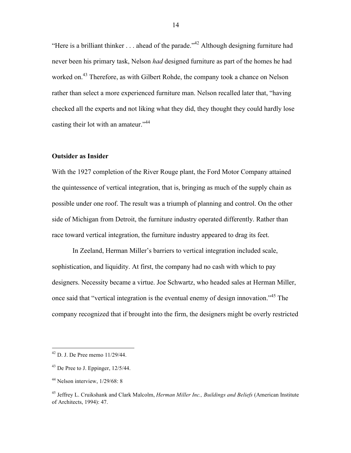"Here is a brilliant thinker  $\ldots$  ahead of the parade."<sup>42</sup> Although designing furniture had never been his primary task, Nelson *had* designed furniture as part of the homes he had worked on.<sup>43</sup> Therefore, as with Gilbert Rohde, the company took a chance on Nelson rather than select a more experienced furniture man. Nelson recalled later that, "having checked all the experts and not liking what they did, they thought they could hardly lose casting their lot with an amateur."<sup>44</sup>

### **Outsider as Insider**

With the 1927 completion of the River Rouge plant, the Ford Motor Company attained the quintessence of vertical integration, that is, bringing as much of the supply chain as possible under one roof. The result was a triumph of planning and control. On the other side of Michigan from Detroit, the furniture industry operated differently. Rather than race toward vertical integration, the furniture industry appeared to drag its feet.

In Zeeland, Herman Miller's barriers to vertical integration included scale, sophistication, and liquidity. At first, the company had no cash with which to pay designers. Necessity became a virtue. Joe Schwartz, who headed sales at Herman Miller, once said that "vertical integration is the eventual enemy of design innovation."<sup>45</sup> The company recognized that if brought into the firm, the designers might be overly restricted

 <sup>42</sup> D. J. De Pree memo 11/29/44.

 $43$  De Pree to J. Eppinger,  $12/5/44$ .

 $44$  Nelson interview,  $1/29/68$ : 8

<sup>45</sup> Jeffrey L. Cruikshank and Clark Malcolm, *Herman Miller Inc., Buildings and Beliefs* (American Institute of Architects, 1994): 47.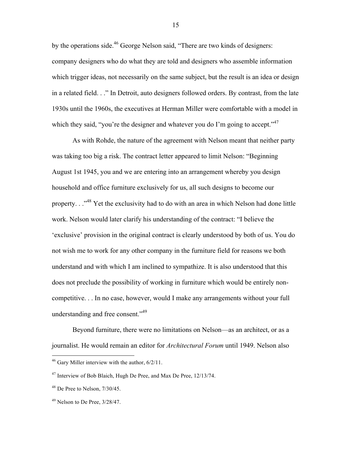by the operations side.<sup>46</sup> George Nelson said, "There are two kinds of designers: company designers who do what they are told and designers who assemble information which trigger ideas, not necessarily on the same subject, but the result is an idea or design in a related field. . ." In Detroit, auto designers followed orders. By contrast, from the late 1930s until the 1960s, the executives at Herman Miller were comfortable with a model in which they said, "you're the designer and whatever you do I'm going to accept."<sup>47</sup>

As with Rohde, the nature of the agreement with Nelson meant that neither party was taking too big a risk. The contract letter appeared to limit Nelson: "Beginning August 1st 1945, you and we are entering into an arrangement whereby you design household and office furniture exclusively for us, all such designs to become our property. . ."48 Yet the exclusivity had to do with an area in which Nelson had done little work. Nelson would later clarify his understanding of the contract: "I believe the 'exclusive' provision in the original contract is clearly understood by both of us. You do not wish me to work for any other company in the furniture field for reasons we both understand and with which I am inclined to sympathize. It is also understood that this does not preclude the possibility of working in furniture which would be entirely noncompetitive. . . In no case, however, would I make any arrangements without your full understanding and free consent."<sup>49</sup>

Beyond furniture, there were no limitations on Nelson—as an architect, or as a journalist. He would remain an editor for *Architectural Forum* until 1949. Nelson also

 <sup>46</sup> Gary Miller interview with the author, 6/2/11.

<sup>47</sup> Interview of Bob Blaich, Hugh De Pree, and Max De Pree, 12/13/74.

 $48$  De Pree to Nelson,  $7/30/45$ .

 $49$  Nelson to De Pree,  $3/28/47$ .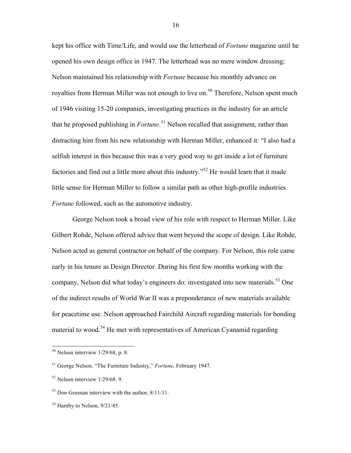kept his office with Time/Life, and would use the letterhead of *Fortune* magazine until he opened his own design office in 1947. The letterhead was no mere window dressing; Nelson maintained his relationship with *Fortune* because his monthly advance on royalties from Herman Miller was not enough to live on.<sup>50</sup> Therefore, Nelson spent much of 1946 visiting 15-20 companies, investigating practices in the industry for an article that he proposed publishing in *Fortune*. <sup>51</sup> Nelson recalled that assignment, rather than distracting him from his new relationship with Herman Miller, enhanced it: "I also had a selfish interest in this because this was a very good way to get inside a lot of furniture factories and find out a little more about this industry."<sup>52</sup> He would learn that it made little sense for Herman Miller to follow a similar path as other high-profile industries *Fortune* followed, such as the automotive industry.

George Nelson took a broad view of his role with respect to Herman Miller. Like Gilbert Rohde, Nelson offered advice that went beyond the scope of design. Like Rohde, Nelson acted as general contractor on behalf of the company. For Nelson, this role came early in his tenure as Design Director. During his first few months working with the company, Nelson did what today's engineers do: investigated into new materials.<sup>53</sup> One of the indirect results of World War II was a preponderance of new materials available for peacetime use. Nelson approached Fairchild Aircraft regarding materials for bonding material to wood.54 He met with representatives of American Cyanamid regarding

 $50$  Nelson interview 1/29/68, p. 8.

<sup>51</sup> George Nelson, "The Furniture Industry," *Fortune*, February 1947.

 $52$  Nelson interview  $1/29/68$ : 9.

<sup>53</sup> Don Goeman interview with the author, 8/11/11.

 $54$  Hamby to Nelson,  $9/21/45$ .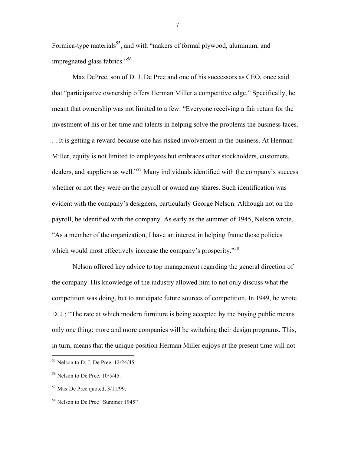Formica-type materials<sup>55</sup>, and with "makers of formal plywood, aluminum, and impregnated glass fabrics."<sup>56</sup>

Max DePree, son of D. J. De Pree and one of his successors as CEO, once said that "participative ownership offers Herman Miller a competitive edge." Specifically, he meant that ownership was not limited to a few: "Everyone receiving a fair return for the investment of his or her time and talents in helping solve the problems the business faces. . . It is getting a reward because one has risked involvement in the business. At Herman Miller, equity is not limited to employees but embraces other stockholders, customers, dealers, and suppliers as well."57 Many individuals identified with the company's success whether or not they were on the payroll or owned any shares. Such identification was evident with the company's designers, particularly George Nelson. Although not on the payroll, he identified with the company. As early as the summer of 1945, Nelson wrote, "As a member of the organization, I have an interest in helping frame those policies which would most effectively increase the company's prosperity."<sup>58</sup>

Nelson offered key advice to top management regarding the general direction of the company. His knowledge of the industry allowed him to not only discuss what the competition was doing, but to anticipate future sources of competition. In 1949, he wrote D. J.: "The rate at which modern furniture is being accepted by the buying public means only one thing: more and more companies will be switching their design programs. This, in turn, means that the unique position Herman Miller enjoys at the present time will not

 $55$  Nelson to D. J. De Pree,  $12/24/45$ .

 $56$  Nelson to De Pree,  $10/5/45$ .

 $57$  Max De Pree quoted,  $3/11/99$ .

<sup>&</sup>lt;sup>58</sup> Nelson to De Pree "Summer 1945"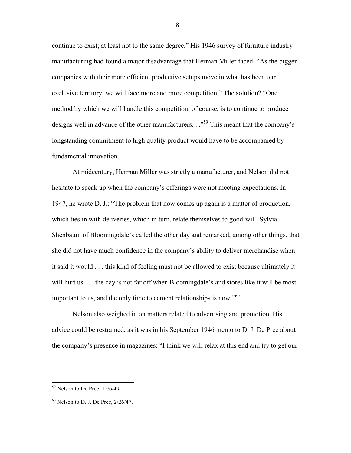continue to exist; at least not to the same degree." His 1946 survey of furniture industry manufacturing had found a major disadvantage that Herman Miller faced: "As the bigger companies with their more efficient productive setups move in what has been our exclusive territory, we will face more and more competition." The solution? "One method by which we will handle this competition, of course, is to continue to produce designs well in advance of the other manufacturers. . .<sup>59</sup> This meant that the company's longstanding commitment to high quality product would have to be accompanied by fundamental innovation.

At midcentury, Herman Miller was strictly a manufacturer, and Nelson did not hesitate to speak up when the company's offerings were not meeting expectations. In 1947, he wrote D. J.: "The problem that now comes up again is a matter of production, which ties in with deliveries, which in turn, relate themselves to good-will. Sylvia Shenbaum of Bloomingdale's called the other day and remarked, among other things, that she did not have much confidence in the company's ability to deliver merchandise when it said it would . . . this kind of feeling must not be allowed to exist because ultimately it will hurt us . . . the day is not far off when Bloomingdale's and stores like it will be most important to us, and the only time to cement relationships is now."<sup>60</sup>

Nelson also weighed in on matters related to advertising and promotion. His advice could be restrained, as it was in his September 1946 memo to D. J. De Pree about the company's presence in magazines: "I think we will relax at this end and try to get our

 $59$  Nelson to De Pree,  $12/6/49$ .

 $60$  Nelson to D. J. De Pree,  $2/26/47$ .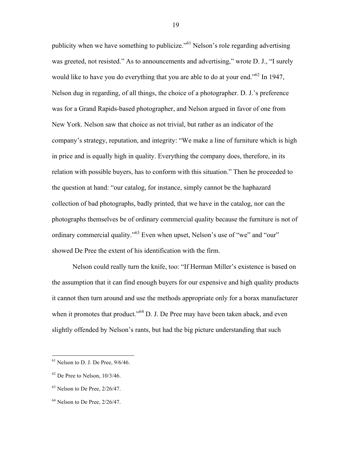publicity when we have something to publicize."<sup>61</sup> Nelson's role regarding advertising was greeted, not resisted." As to announcements and advertising," wrote D. J., "I surely would like to have you do everything that you are able to do at your end.<sup>562</sup> In 1947, Nelson dug in regarding, of all things, the choice of a photographer. D. J.'s preference was for a Grand Rapids-based photographer, and Nelson argued in favor of one from New York. Nelson saw that choice as not trivial, but rather as an indicator of the company's strategy, reputation, and integrity: "We make a line of furniture which is high in price and is equally high in quality. Everything the company does, therefore, in its relation with possible buyers, has to conform with this situation." Then he proceeded to the question at hand: "our catalog, for instance, simply cannot be the haphazard collection of bad photographs, badly printed, that we have in the catalog, nor can the photographs themselves be of ordinary commercial quality because the furniture is not of ordinary commercial quality."<sup>63</sup> Even when upset, Nelson's use of "we" and "our" showed De Pree the extent of his identification with the firm.

Nelson could really turn the knife, too: "If Herman Miller's existence is based on the assumption that it can find enough buyers for our expensive and high quality products it cannot then turn around and use the methods appropriate only for a borax manufacturer when it promotes that product."<sup>64</sup> D. J. De Pree may have been taken aback, and even slightly offended by Nelson's rants, but had the big picture understanding that such

 $61$  Nelson to D. J. De Pree,  $9/6/46$ .

 $62$  De Pree to Nelson,  $10/3/46$ .

 $63$  Nelson to De Pree,  $2/26/47$ .

 $64$  Nelson to De Pree,  $2/26/47$ .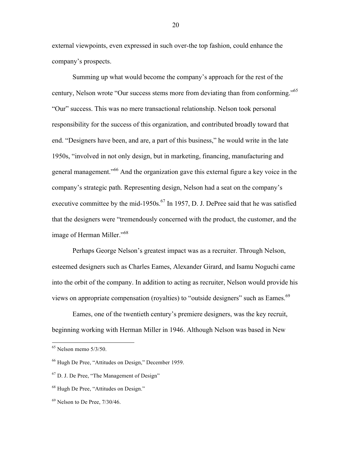external viewpoints, even expressed in such over-the top fashion, could enhance the company's prospects.

Summing up what would become the company's approach for the rest of the century, Nelson wrote "Our success stems more from deviating than from conforming."65 "Our" success. This was no mere transactional relationship. Nelson took personal responsibility for the success of this organization, and contributed broadly toward that end. "Designers have been, and are, a part of this business," he would write in the late 1950s, "involved in not only design, but in marketing, financing, manufacturing and general management."<sup>66</sup> And the organization gave this external figure a key voice in the company's strategic path. Representing design, Nelson had a seat on the company's executive committee by the mid-1950s. $^{67}$  In 1957, D. J. DePree said that he was satisfied that the designers were "tremendously concerned with the product, the customer, and the image of Herman Miller."<sup>68</sup>

Perhaps George Nelson's greatest impact was as a recruiter. Through Nelson, esteemed designers such as Charles Eames, Alexander Girard, and Isamu Noguchi came into the orbit of the company. In addition to acting as recruiter, Nelson would provide his views on appropriate compensation (royalties) to "outside designers" such as Eames.<sup>69</sup>

Eames, one of the twentieth century's premiere designers, was the key recruit, beginning working with Herman Miller in 1946. Although Nelson was based in New

 $65$  Nelson memo  $5/3/50$ .

<sup>66</sup> Hugh De Pree, "Attitudes on Design," December 1959.

 $67$  D. J. De Pree, "The Management of Design"

<sup>&</sup>lt;sup>68</sup> Hugh De Pree, "Attitudes on Design."

 $69$  Nelson to De Pree,  $7/30/46$ .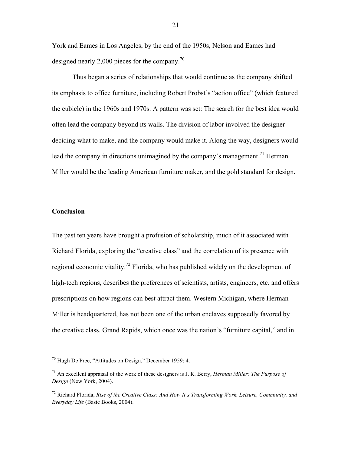York and Eames in Los Angeles, by the end of the 1950s, Nelson and Eames had designed nearly 2,000 pieces for the company.<sup>70</sup>

Thus began a series of relationships that would continue as the company shifted its emphasis to office furniture, including Robert Probst's "action office" (which featured the cubicle) in the 1960s and 1970s. A pattern was set: The search for the best idea would often lead the company beyond its walls. The division of labor involved the designer deciding what to make, and the company would make it. Along the way, designers would lead the company in directions unimagined by the company's management.<sup>71</sup> Herman Miller would be the leading American furniture maker, and the gold standard for design.

# **Conclusion**

The past ten years have brought a profusion of scholarship, much of it associated with Richard Florida, exploring the "creative class" and the correlation of its presence with regional economic vitality.<sup>72</sup> Florida, who has published widely on the development of high-tech regions, describes the preferences of scientists, artists, engineers, etc. and offers prescriptions on how regions can best attract them. Western Michigan, where Herman Miller is headquartered, has not been one of the urban enclaves supposedly favored by the creative class. Grand Rapids, which once was the nation's "furniture capital," and in

 <sup>70</sup> Hugh De Pree, "Attitudes on Design," December 1959: 4.

<sup>71</sup> An excellent appraisal of the work of these designers is J. R. Berry, *Herman Miller: The Purpose of Design* (New York, 2004).

<sup>72</sup> Richard Florida, *Rise of the Creative Class: And How It's Transforming Work, Leisure, Community, and Everyday Life* (Basic Books, 2004).